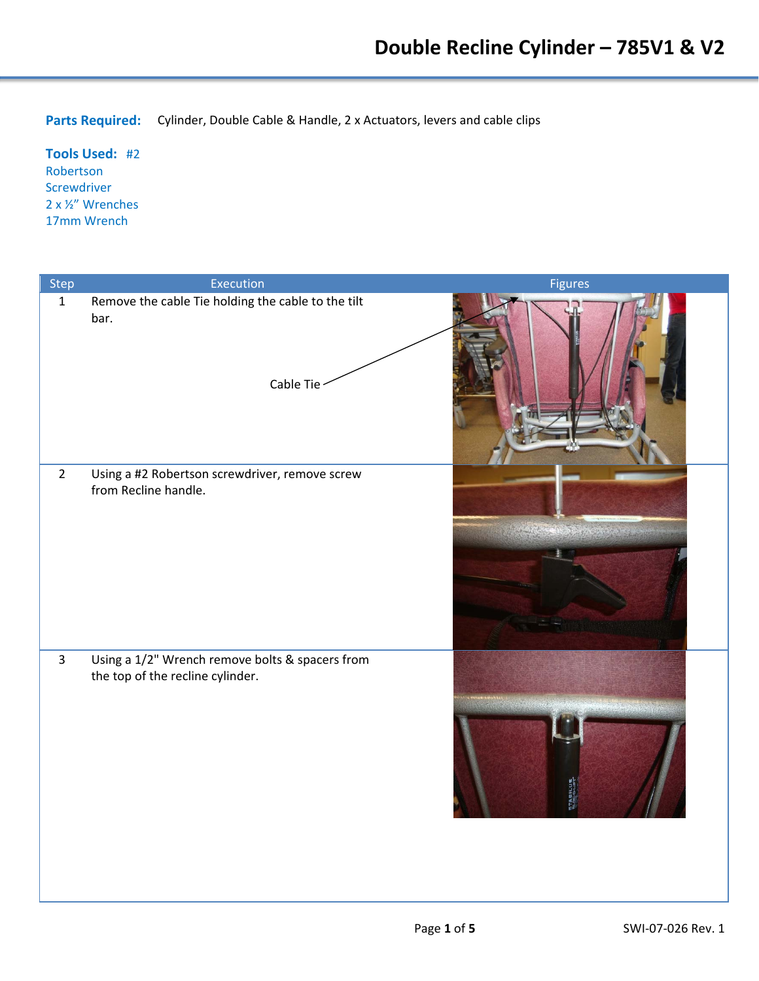**Parts Required:** Cylinder, Double Cable & Handle, 2 x Actuators, levers and cable clips

**Tools Used:** #2 Robertson Screwdriver 2 x ½" Wrenches 17mm Wrench

| Step           | Execution                                                                           | Figures                     |
|----------------|-------------------------------------------------------------------------------------|-----------------------------|
| $\mathbf{1}$   | Remove the cable Tie holding the cable to the tilt<br>bar.<br>Cable Tie             |                             |
| $\overline{2}$ | Using a #2 Robertson screwdriver, remove screw<br>from Recline handle.              | ● の場に、 一般の事実の あいかん          |
| $\overline{3}$ | Using a 1/2" Wrench remove bolts & spacers from<br>the top of the recline cylinder. | <b>STABILUS</b><br>BUABILUS |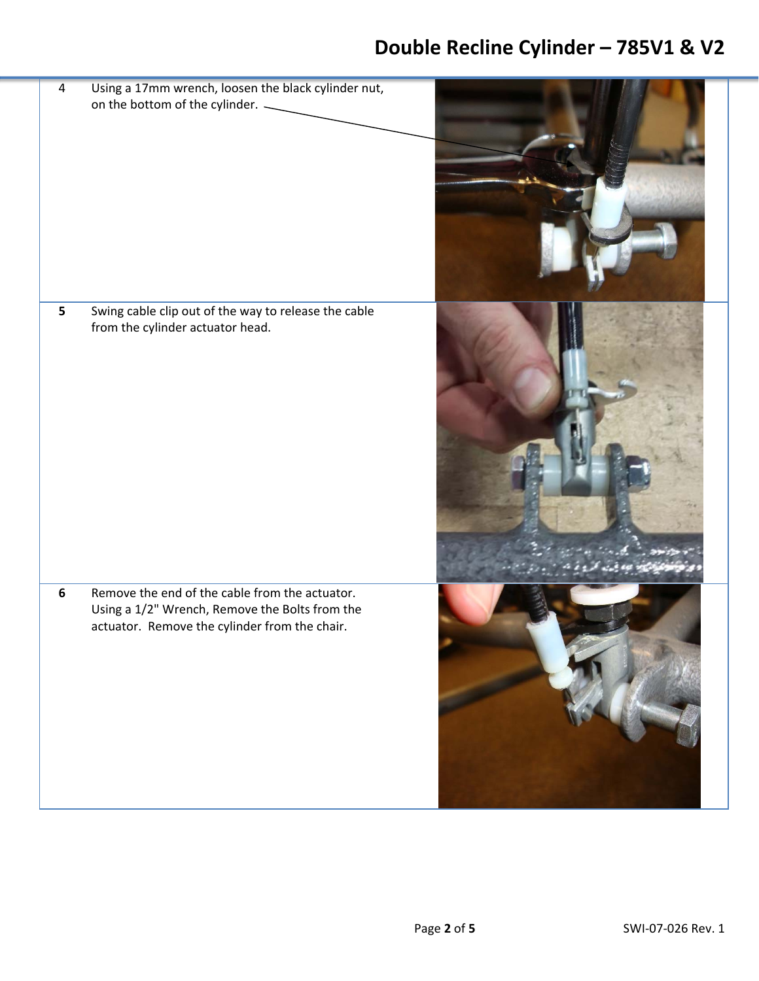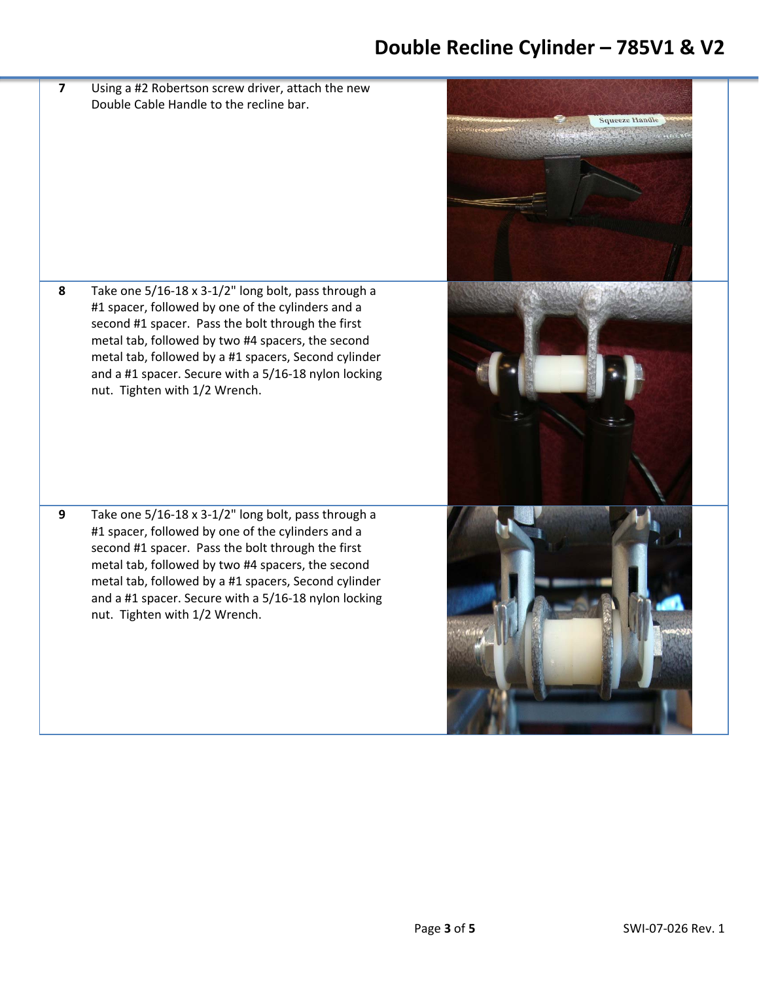**7** Using a #2 Robertson screw driver, attach the new Double Cable Handle to the recline bar.

**8** Take one 5/16‐18 x 3‐1/2" long bolt, pass through a #1 spacer, followed by one of the cylinders and a second #1 spacer. Pass the bolt through the first metal tab, followed by two #4 spacers, the second metal tab, followed by a #1 spacers, Second cylinder and a #1 spacer. Secure with a 5/16‐18 nylon locking nut. Tighten with 1/2 Wrench.

**9** Take one 5/16‐18 x 3‐1/2" long bolt, pass through a #1 spacer, followed by one of the cylinders and a second #1 spacer. Pass the bolt through the first metal tab, followed by two #4 spacers, the second metal tab, followed by a #1 spacers, Second cylinder and a #1 spacer. Secure with a 5/16‐18 nylon locking nut. Tighten with 1/2 Wrench.

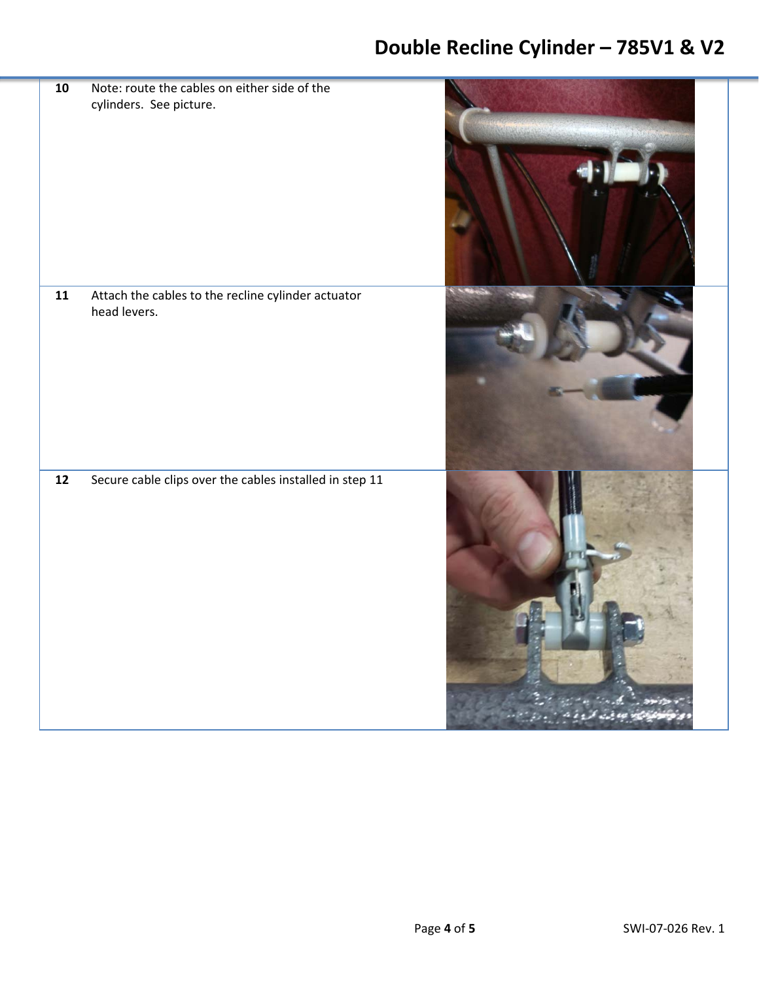| 10                | Note: route the cables on either side of the                       |                          |
|-------------------|--------------------------------------------------------------------|--------------------------|
|                   | cylinders. See picture.                                            |                          |
|                   |                                                                    |                          |
| ${\bf 11}$        | Attach the cables to the recline cylinder actuator<br>head levers. |                          |
| $\boldsymbol{12}$ | Secure cable clips over the cables installed in step 11            | والمتفاعلين بموجب كروانه |